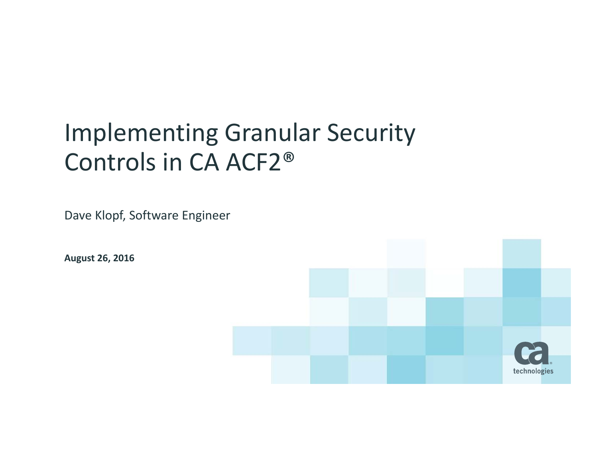# Implementing Granular Security Controls in CA ACF2®

Dave Klopf, Software Engineer

**August 26, 2016**

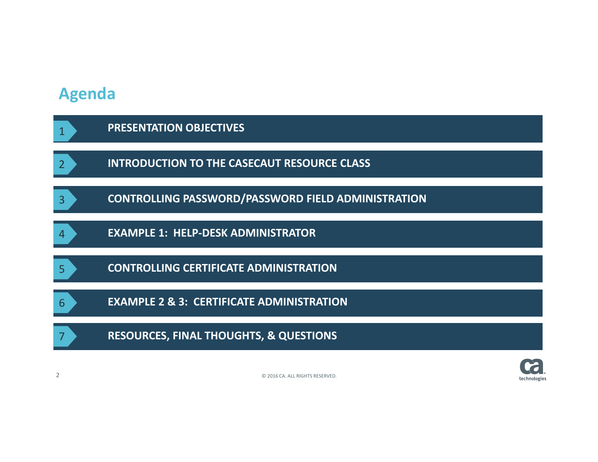### **Agenda**

|                | <b>PRESENTATION OBJECTIVES</b>                            |
|----------------|-----------------------------------------------------------|
| $\overline{2}$ | <b>INTRODUCTION TO THE CASECAUT RESOURCE CLASS</b>        |
| 3              | <b>CONTROLLING PASSWORD/PASSWORD FIELD ADMINISTRATION</b> |
| 4              | <b>EXAMPLE 1: HELP-DESK ADMINISTRATOR</b>                 |
| 5              | <b>CONTROLLING CERTIFICATE ADMINISTRATION</b>             |
| 6              | <b>EXAMPLE 2 &amp; 3: CERTIFICATE ADMINISTRATION</b>      |
| 7              | <b>RESOURCES, FINAL THOUGHTS, &amp; QUESTIONS</b>         |

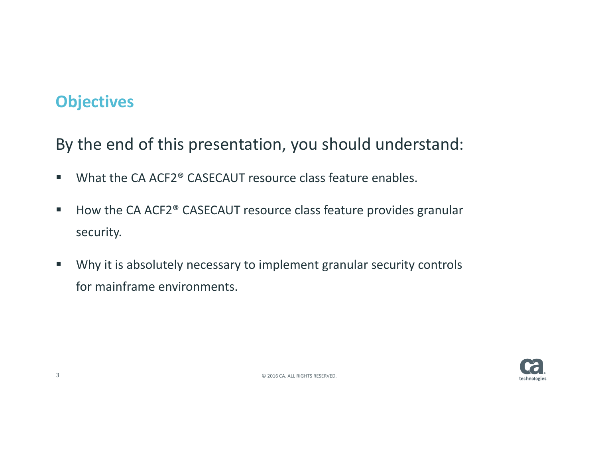## **Objectives**

By the end of this presentation, you should understand:

- $\blacksquare$ ■ What the CA ACF2<sup>®</sup> CASECAUT resource class feature enables.
- $\mathcal{L}_{\mathcal{A}}$ ■ How the CA ACF2<sup>®</sup> CASECAUT resource class feature provides granular security.
- $\mathcal{L}_{\mathcal{A}}$  Why it is absolutely necessary to implement granular security controls for mainframe environments.

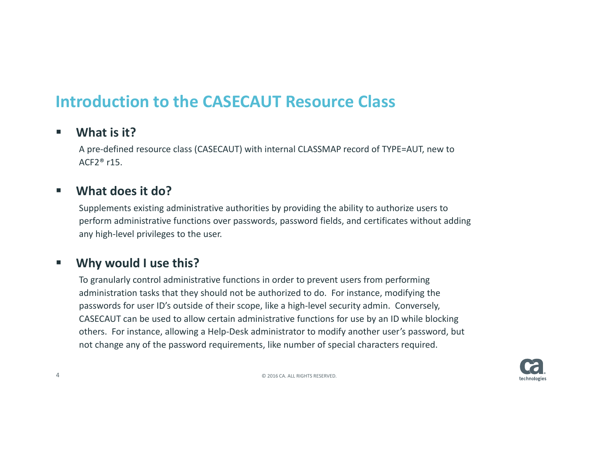### **Introduction to the CASECAUT Resource Class**

### $\overline{\phantom{a}}$ **What is it?**

A pre‐defined resource class (CASECAUT) with internal CLASSMAP record of TYPE=AUT, new to <code>ACF2</code>® r15.

### $\blacksquare$ **What does it do?**

Supplements existing administrative authorities by providing the ability to authorize users to perform administrative functions over passwords, password fields, and certificates without adding any high‐level privileges to the user.

### $\blacksquare$ **Why would I use this?**

To granularly control administrative functions in order to prevent users from performing administration tasks that they should not be authorized to do. For instance, modifying the passwords for user ID's outside of their scope, like a high-level security admin. Conversely, CASECAUT can be used to allow certain administrative functions for use by an ID while blocking others. For instance, allowing <sup>a</sup> Help‐Desk administrator to modify another user's password, but not change any of the password requirements, like number of special characters required.



4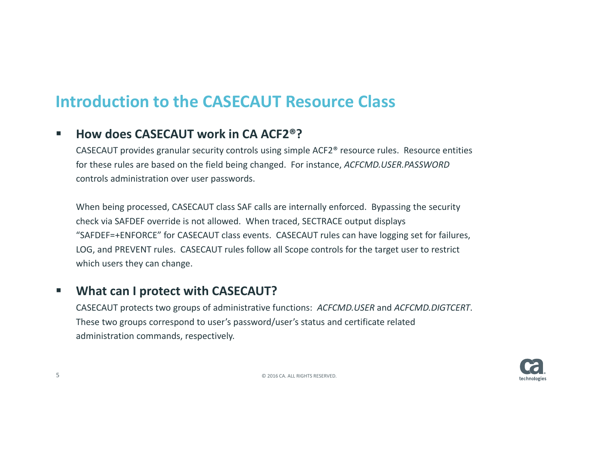## **Introduction to the CASECAUT Resource Class**

### $\blacksquare$ **How does CASECAUT work in CA ACF2®?**

CASECAUT provides granular security controls using simple ACF2® resource rules. Resource entities for these rules are based on the field being changed. For instance, *ACFCMD.USER.PASSWORD* controls administration over user passwords.

When being processed, CASECAUT class SAF calls are internally enforced. Bypassing the security check via SAFDEF override is not allowed. When traced, SECTRACE output displays "SAFDEF=+ENFORCE" for CASECAUT class events. CASECAUT rules can have logging set for failures, LOG, and PREVENT rules. CASECAUT rules follow all Scope controls for the target user to restrict which users they can change.

### $\mathcal{L}_{\mathcal{A}}$ **What can I protect with CASECAUT?**

CASECAUT protects two groups of administrative functions: *ACFCMD.USER* and *ACFCMD.DIGTCERT*. These two groups correspond to user's password/user's status and certificate related administration commands, respectively.

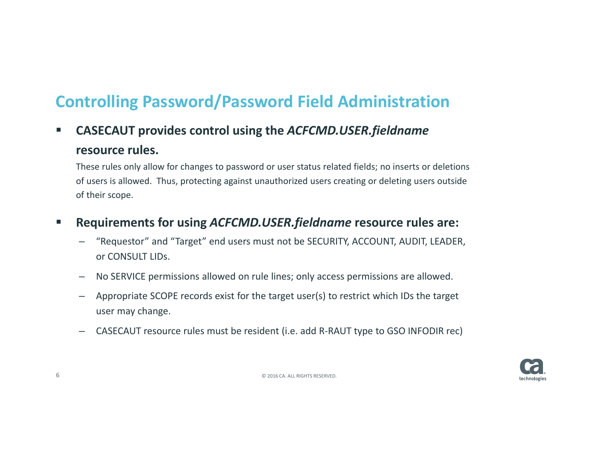## **Controlling Password/Password Field Administration**

 $\mathcal{L}_{\mathcal{A}}$  **CASECAUT provides control using the** *ACFCMD.USER.fieldname* **resource rules.**

These rules only allow for changes to password or user status related fields; no inserts or deletions of users is allowed. Thus, protecting against unauthorized users creating or deleting users outside of their scope.

### $\mathcal{L}_{\mathcal{A}}$ **Requirements for using** *ACFCMD.USER.fieldname* **resource rules are:**

- "Requestor" and "Target" end users must not be SECURITY, ACCOUNT, AUDIT, LEADER, or CONSULT LIDs.
- No SERVICE permissions allowed on rule lines; only access permissions are allowed.
- Appropriate SCOPE records exist for the target user(s) to restrict which IDs the target user may change.
- CASECAUT resource rules must be resident (i.e. add R‐RAUT type to GSO INFODIR rec)

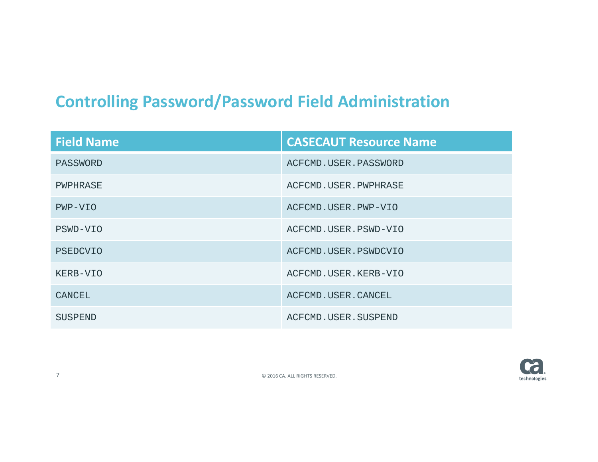## **Controlling Password/Password Field Administration**

| <b>Field Name</b> | <b>CASECAUT Resource Name</b> |  |
|-------------------|-------------------------------|--|
| PASSWORD          | ACFCMD.USER.PASSWORD          |  |
| PWPHRASE          | ACFCMD.USER.PWPHRASE          |  |
| PWP-VIO           | ACFCMD.USER.PWP-VIO           |  |
| PSWD-VIO          | ACFCMD.USER.PSWD-VIO          |  |
| PSEDCVIO          | ACFCMD.USER.PSWDCVIO          |  |
| KERB-VIO          | ACFCMD.USER.KERB-VIO          |  |
| CANCEL            | ACFCMD.USER.CANCEL            |  |
| SUSPEND           | ACFCMD. USER. SUSPEND         |  |



7©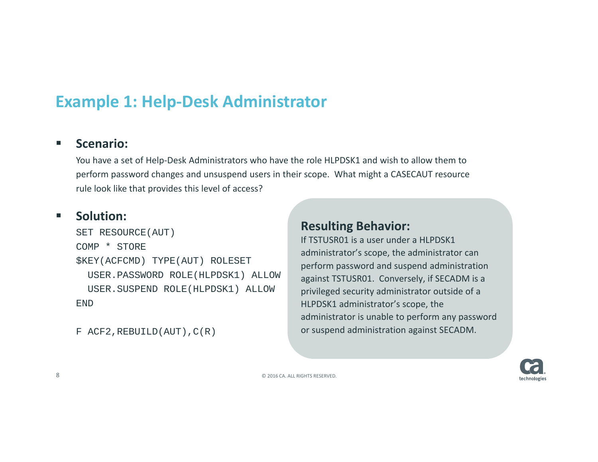## **Example 1: Help‐Desk Administrator**

#### $\overline{\phantom{a}}$ **Scenario:**

You have <sup>a</sup> set of Help‐Desk Administrators who have the role HLPDSK1 and wish to allow them to perform password changes and unsuspend users in their scope. What might <sup>a</sup> CASECAUT resource rule look like that provides this level of access?

#### $\mathcal{L}_{\mathcal{A}}$ **Solution:**

SET RESOURCE(AUT) COMP \* STORE\$KEY(ACFCMD) TYPE(AUT) ROLESET USER.PASSWORD ROLE(HLPDSK1) ALLOW USER.SUSPEND ROLE(HLPDSK1) ALLOW END

 $F$  ACF2, REBUILD(AUT),  $C(R)$ 

### **Resulting Behavior:**

If TSTUSR01 is <sup>a</sup> user under <sup>a</sup> HLPDSK1 administrator's scope, the administrator can perform password and suspend administration against TSTUSR01. Conversely, if SECADM is <sup>a</sup> privileged security administrator outside of <sup>a</sup> HLPDSK1 administrator's scope, the administrator is unable to perform any password or suspend administration against SECADM.

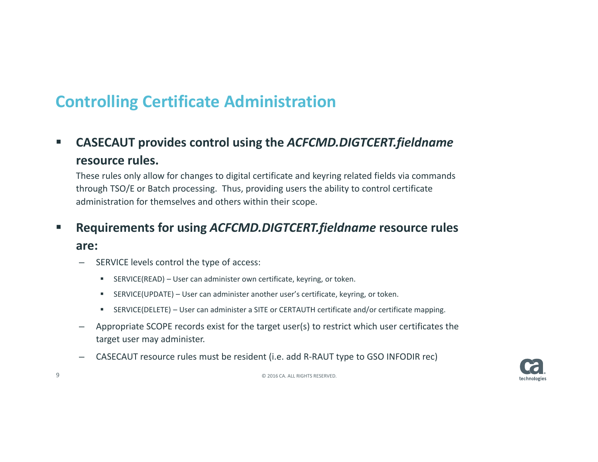$\blacksquare$  **CASECAUT provides control using the** *ACFCMD.DIGTCERT.fieldname* **resource rules.**

These rules only allow for changes to digital certificate and keyring related fields via commands through TSO/E or Batch processing. Thus, providing users the ability to control certificate administration for themselves and others within their scope.

### $\mathcal{L}_{\mathcal{A}}$ **Requirements for using** *ACFCMD.DIGTCERT.fieldname* **resource rules**

### **are:**

- SERVICE levels control the type of access:
	- $\blacksquare$ SERVICE(READ) – User can administer own certificate, keyring, or token.
	- п SERVICE(UPDATE) – User can administer another user's certificate, keyring, or token.
	- $\blacksquare$ SERVICE(DELETE) – User can administer <sup>a</sup> SITE or CERTAUTH certificate and/or certificate mapping.
- Appropriate SCOPE records exist for the target user(s) to restrict which user certificates the target user may administer.
- CASECAUT resource rules must be resident (i.e. add R‐RAUT type to GSO INFODIR rec)

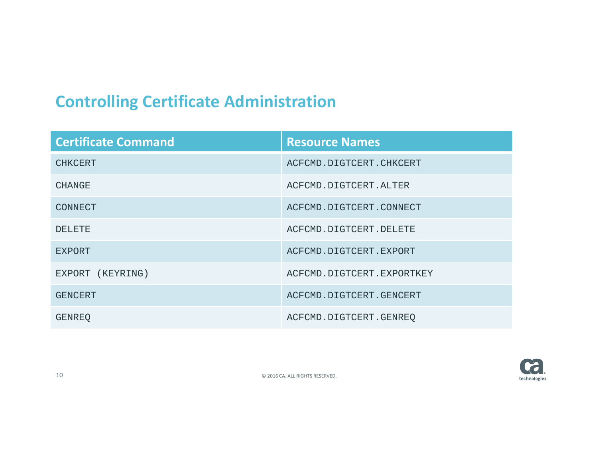| <b>Certificate Command</b> | <b>Resource Names</b>     |
|----------------------------|---------------------------|
| <b>CHKCERT</b>             | ACFCMD.DIGTCERT.CHKCERT   |
| <b>CHANGE</b>              | ACFCMD.DIGTCERT.ALTER     |
| <b>CONNECT</b>             | ACFCMD.DIGTCERT.CONNECT   |
| DELETE.                    | ACFCMD.DIGTCERT.DELETE    |
| <b>EXPORT</b>              | ACFCMD.DIGTCERT.EXPORT    |
| EXPORT (KEYRING)           | ACFCMD.DIGTCERT.EXPORTKEY |
| <b>GENCERT</b>             | ACFCMD.DIGTCERT.GENCERT   |
| GENREO                     | ACFCMD.DIGTCERT.GENREQ    |

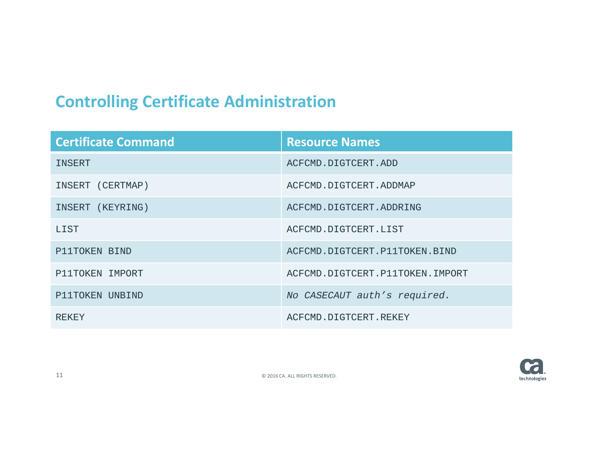| <b>Certificate Command</b> | <b>Resource Names</b>           |  |
|----------------------------|---------------------------------|--|
| INSERT                     | ACFCMD.DIGTCERT.ADD             |  |
| INSERT (CERTMAP)           | ACFCMD.DIGTCERT.ADDMAP          |  |
| INSERT (KEYRING)           | ACFCMD.DIGTCERT.ADDRING         |  |
| <b>T.T.ST</b>              | ACFCMD.DIGTCERT.LIST            |  |
| P11TOKEN BIND              | ACFCMD.DIGTCERT.P11TOKEN.BIND   |  |
| P11TOKEN IMPORT            | ACFCMD.DIGTCERT.P11TOKEN.IMPORT |  |
| P11TOKEN UNBIND            | No CASECAUT auth's required.    |  |
| <b>REKEY</b>               | ACFCMD.DIGTCERT.REKEY           |  |

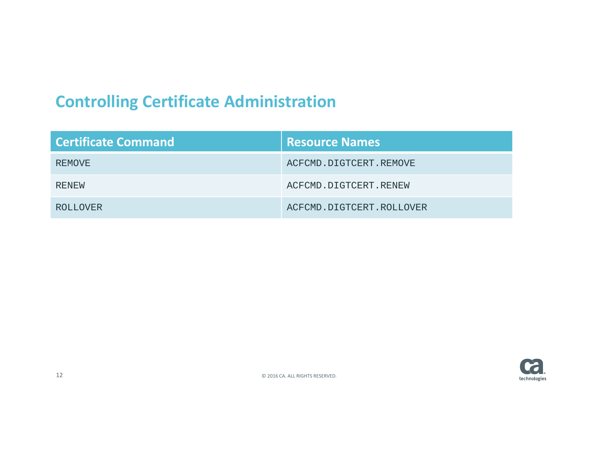| Certificate Command | <b>Resource Names</b>    |
|---------------------|--------------------------|
| REMOVE              | ACFCMD.DIGTCERT.REMOVE   |
| RENEW               | ACFCMD.DIGTCERT.RENEW    |
| <b>ROLLOVER</b>     | ACFCMD.DIGTCERT.ROLLOVER |

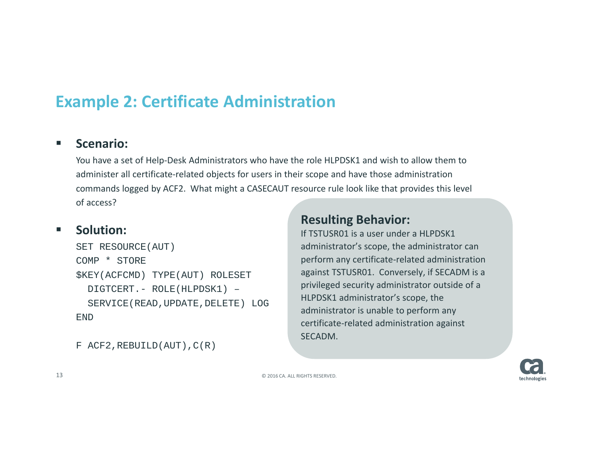## **Example 2: Certificate Administration**

#### $\overline{\phantom{a}}$ **Scenario:**

You have <sup>a</sup> set of Help‐Desk Administrators who have the role HLPDSK1 and wish to allow them to administer all certificate‐related objects for users in their scope and have those administration commands logged by ACF2. What might <sup>a</sup> CASECAUT resource rule look like that provides this level of access?

#### $\overline{\phantom{a}}$ **Solution:**

SET RESOURCE(AUT) COMP \* STORE\$KEY(ACFCMD) TYPE(AUT) ROLESET DIGTCERT.- ROLE(HLPDSK1) – SERVICE(READ,UPDATE,DELETE) LOG END

 $F$  ACF2, REBUILD(AUT),  $C(R)$ 

### **Resulting Behavior:**

If TSTUSR01 is <sup>a</sup> user under <sup>a</sup> HLPDSK1 administrator's scope, the administrator can perform any certificate‐related administration against TSTUSR01. Conversely, if SECADM is <sup>a</sup> privileged security administrator outside of <sup>a</sup> HLPDSK1 administrator's scope, the administrator is unable to perform any certificate‐related administration against SECADM.

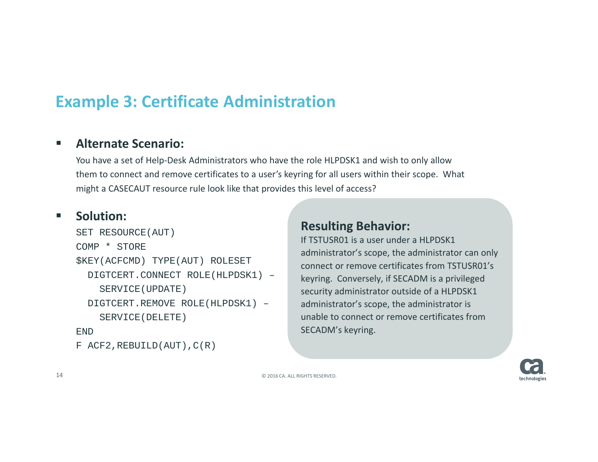## **Example 3: Certificate Administration**

### $\overline{\phantom{a}}$ **Alternate Scenario:**

You have <sup>a</sup> set of Help‐Desk Administrators who have the role HLPDSK1 and wish to only allow them to connect and remove certificates to <sup>a</sup> user's keyring for all users within their scope. What might <sup>a</sup> CASECAUT resource rule look like that provides this level of access?

#### $\mathcal{L}_{\mathcal{A}}$ **Solution:**

```
SET RESOURCE(AUT)
COMP * STORE
$KEY(ACFCMD) TYPE(AUT) ROLESET
 DIGTCERT.CONNECT ROLE(HLPDSK1) –
    SERVICE(UPDATE)
 DIGTCERT.REMOVE ROLE(HLPDSK1) –
    SERVICE(DELETE)
END
F ACF2, REBUILD(AUT), C(R)
```
### **Resulting Behavior:**

If TSTUSR01 is <sup>a</sup> user under <sup>a</sup> HLPDSK1 administrator's scope, the administrator can only connect or remove certificates from TSTUSR01's keyring. Conversely, if SECADM is <sup>a</sup> privileged security administrator outside of <sup>a</sup> HLPDSK1 administrator's scope, the administrator is unable to connect or remove certificates fromSECADM's keyring.

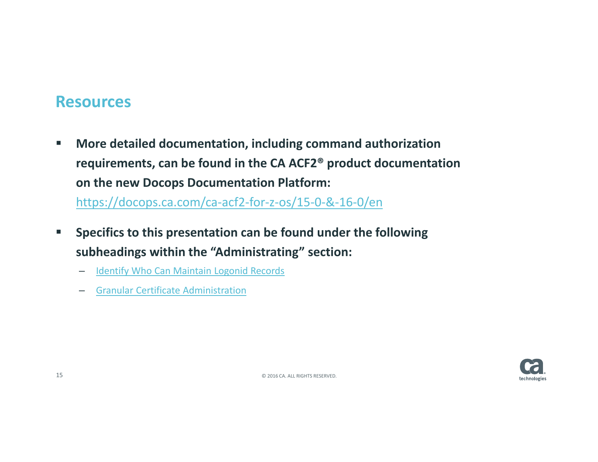### **Resources**

- $\blacksquare$  **More detailed documentation, including command authorization requirements, can be found in the CA ACF2® product documentation on the new Docops Documentation Platform:** https://docops.ca.com/ca‐acf2‐for‐z‐os/15‐0‐&‐16‐0/en
- $\mathcal{L}_{\mathcal{A}}$  **Specifics to this presentation can be found under the following subheadings within the "Administrating" section:**
	- Identify Who Can Maintain Logonid Records
	- Granular Certificate Administration

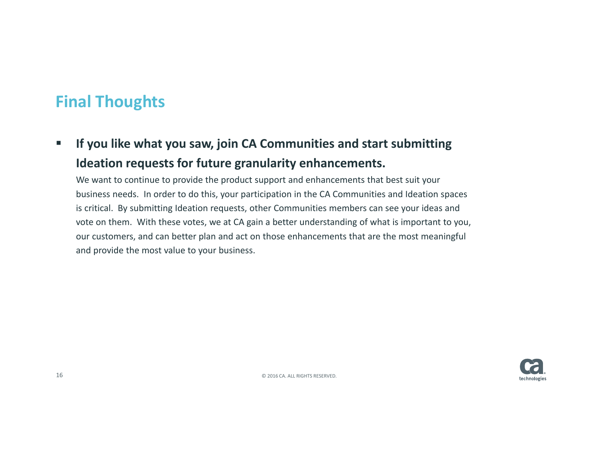## **Final Thoughts**

 $\blacksquare$  **If you like what you saw, join CA Communities and start submitting Ideation requests for future granularity enhancements.**

We want to continue to provide the product support and enhancements that best suit your business needs. In order to do this, your participation in the CA Communities and Ideation spaces is critical. By submitting Ideation requests, other Communities members can see your ideas and vote on them. With these votes, we at CA gain <sup>a</sup> better understanding of what is important to you, our customers, and can better plan and act on those enhancements that are the most meaningful and provide the most value to your business.

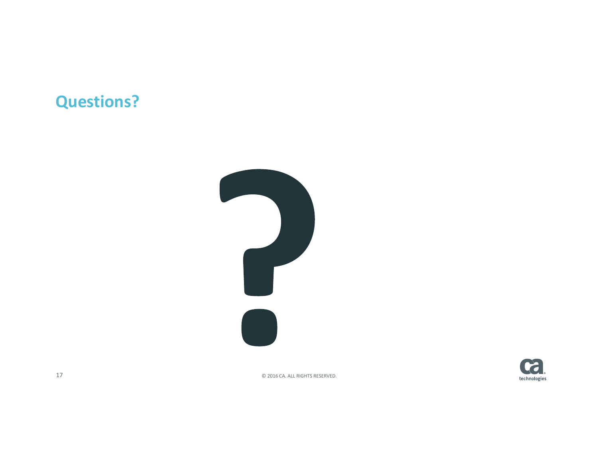## **Questions?**





2016 CA. ALL RIGHTS RESERVED.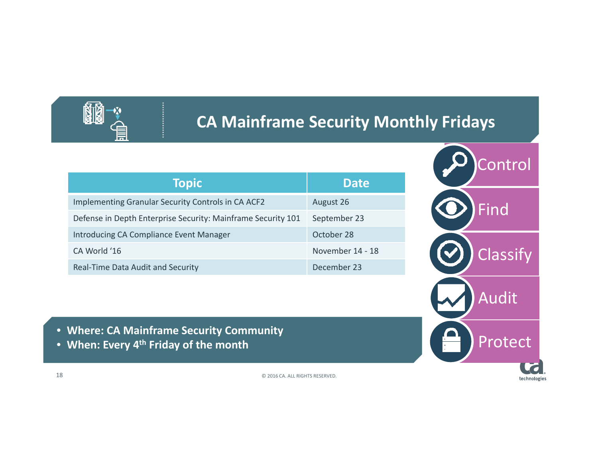

## **CA Mainframe Security Monthly Fridays**

| <b>Topic</b>                                                 | <b>Date</b>      |
|--------------------------------------------------------------|------------------|
| Implementing Granular Security Controls in CA ACF2           | August 26        |
| Defense in Depth Enterprise Security: Mainframe Security 101 | September 23     |
| Introducing CA Compliance Event Manager                      | October 28       |
| CA World '16                                                 | November 14 - 18 |
| Real-Time Data Audit and Security                            | December 23      |
|                                                              |                  |
|                                                              |                  |

- **Where: CA Mainframe Security Community**
- **When: Every 4th Friday of the month**